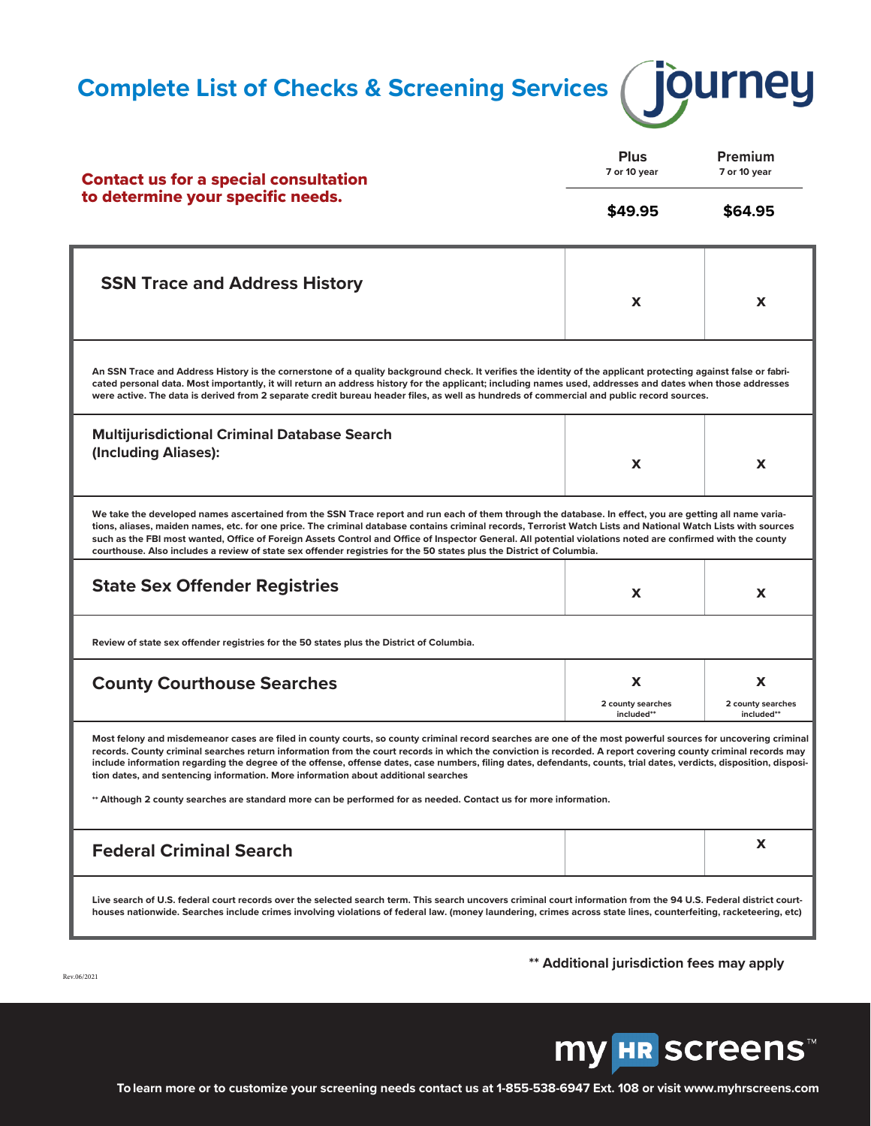**Complete List of Checks & Screening Services (JOUINEY** 



| <b>Contact us for a special consultation</b>                                                                                                                                                                                                                                                                                                                                                                                                                                                                                                                                                                     | <b>Plus</b><br>7 or 10 year          | Premium<br>7 or 10 year              |  |
|------------------------------------------------------------------------------------------------------------------------------------------------------------------------------------------------------------------------------------------------------------------------------------------------------------------------------------------------------------------------------------------------------------------------------------------------------------------------------------------------------------------------------------------------------------------------------------------------------------------|--------------------------------------|--------------------------------------|--|
| to determine your specific needs.                                                                                                                                                                                                                                                                                                                                                                                                                                                                                                                                                                                | \$49.95                              | \$64.95                              |  |
| <b>SSN Trace and Address History</b>                                                                                                                                                                                                                                                                                                                                                                                                                                                                                                                                                                             | X                                    | x                                    |  |
| An SSN Trace and Address History is the cornerstone of a quality background check. It verifies the identity of the applicant protecting against false or fabri-<br>cated personal data. Most importantly, it will return an address history for the applicant; including names used, addresses and dates when those addresses<br>were active. The data is derived from 2 separate credit bureau header files, as well as hundreds of commercial and public record sources.                                                                                                                                       |                                      |                                      |  |
| <b>Multijurisdictional Criminal Database Search</b><br>(Including Aliases):                                                                                                                                                                                                                                                                                                                                                                                                                                                                                                                                      | X                                    | x                                    |  |
| We take the developed names ascertained from the SSN Trace report and run each of them through the database. In effect, you are getting all name varia-<br>tions, aliases, maiden names, etc. for one price. The criminal database contains criminal records, Terrorist Watch Lists and National Watch Lists with sources<br>such as the FBI most wanted, Office of Foreign Assets Control and Office of Inspector General. All potential violations noted are confirmed with the county<br>courthouse. Also includes a review of state sex offender registries for the 50 states plus the District of Columbia. |                                      |                                      |  |
| <b>State Sex Offender Registries</b>                                                                                                                                                                                                                                                                                                                                                                                                                                                                                                                                                                             | X                                    | x                                    |  |
| Review of state sex offender registries for the 50 states plus the District of Columbia.                                                                                                                                                                                                                                                                                                                                                                                                                                                                                                                         |                                      |                                      |  |
| <b>County Courthouse Searches</b>                                                                                                                                                                                                                                                                                                                                                                                                                                                                                                                                                                                | X<br>2 county searches<br>included** | X<br>2 county searches<br>included** |  |
| Most felony and misdemeanor cases are filed in county courts, so county criminal record searches are one of the most powerful sources for uncovering criminal<br>records. County criminal searches return information from the court records in which the conviction is recorded. A report covering county criminal records may<br>include information regarding the degree of the offense, offense dates, case numbers, filing dates, defendants, counts, trial dates, verdicts, disposition, disposi-<br>tion dates, and sentencing information. More information about additional searches                    |                                      |                                      |  |
| ** Although 2 county searches are standard more can be performed for as needed. Contact us for more information.                                                                                                                                                                                                                                                                                                                                                                                                                                                                                                 |                                      |                                      |  |
| <b>Federal Criminal Search</b>                                                                                                                                                                                                                                                                                                                                                                                                                                                                                                                                                                                   |                                      | X.                                   |  |
| Live search of U.S. federal court records over the selected search term. This search uncovers criminal court information from the 94 U.S. Federal district court-<br>houses nationwide. Searches include crimes involving violations of federal law. (money laundering, crimes across state lines, counterfeiting, racketeering, etc)                                                                                                                                                                                                                                                                            |                                      |                                      |  |

**\*\* Additional jurisdiction fees may apply**

Rev.06/2021

**my HR SCreens™** 

**To learn more or to customize your screening needs contact us at 1-855-538-6947 Ext. 108 or visit www.myhrscreens.com**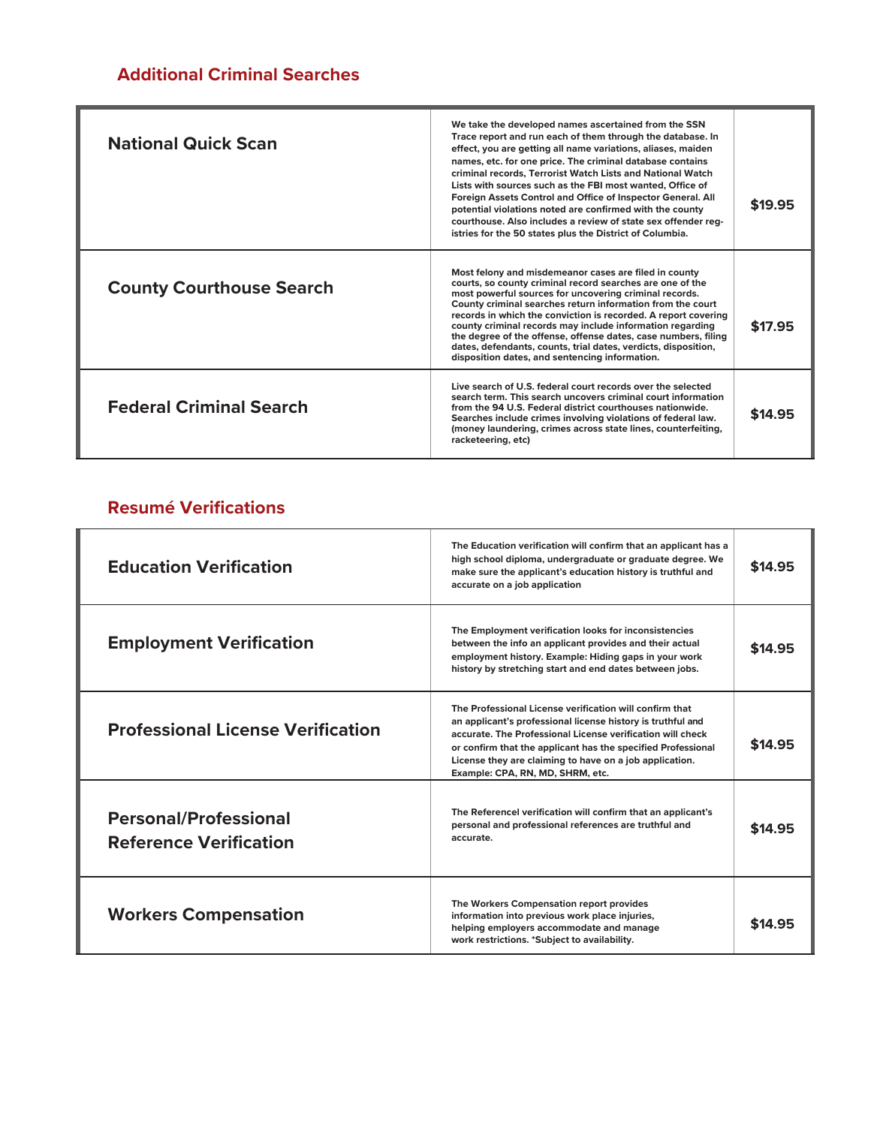## **Additional Criminal Searches**

| <b>National Quick Scan</b>      | We take the developed names ascertained from the SSN<br>Trace report and run each of them through the database. In<br>effect, you are getting all name variations, aliases, maiden<br>names, etc. for one price. The criminal database contains<br>criminal records, Terrorist Watch Lists and National Watch<br>Lists with sources such as the FBI most wanted, Office of<br>Foreign Assets Control and Office of Inspector General. All<br>potential violations noted are confirmed with the county<br>courthouse. Also includes a review of state sex offender reg-<br>istries for the 50 states plus the District of Columbia. | \$19.95 |
|---------------------------------|------------------------------------------------------------------------------------------------------------------------------------------------------------------------------------------------------------------------------------------------------------------------------------------------------------------------------------------------------------------------------------------------------------------------------------------------------------------------------------------------------------------------------------------------------------------------------------------------------------------------------------|---------|
| <b>County Courthouse Search</b> | Most felony and misdemeanor cases are filed in county<br>courts, so county criminal record searches are one of the<br>most powerful sources for uncovering criminal records.<br>County criminal searches return information from the court<br>records in which the conviction is recorded. A report covering<br>county criminal records may include information regarding<br>the degree of the offense, offense dates, case numbers, filing<br>dates, defendants, counts, trial dates, verdicts, disposition,<br>disposition dates, and sentencing information.                                                                    | \$17.95 |
| <b>Federal Criminal Search</b>  | Live search of U.S. federal court records over the selected<br>search term. This search uncovers criminal court information<br>from the 94 U.S. Federal district courthouses nationwide.<br>Searches include crimes involving violations of federal law.<br>(money laundering, crimes across state lines, counterfeiting,<br>racketeering, etc)                                                                                                                                                                                                                                                                                    | \$14.95 |

### **Resumé Verifications**

| <b>Education Verification</b>                                 | The Education verification will confirm that an applicant has a<br>high school diploma, undergraduate or graduate degree. We<br>make sure the applicant's education history is truthful and<br>accurate on a job application                                                                                                                        | \$14.95 |
|---------------------------------------------------------------|-----------------------------------------------------------------------------------------------------------------------------------------------------------------------------------------------------------------------------------------------------------------------------------------------------------------------------------------------------|---------|
| <b>Employment Verification</b>                                | The Employment verification looks for inconsistencies<br>between the info an applicant provides and their actual<br>employment history. Example: Hiding gaps in your work<br>history by stretching start and end dates between jobs.                                                                                                                | \$14.95 |
| <b>Professional License Verification</b>                      | The Professional License verification will confirm that<br>an applicant's professional license history is truthful and<br>accurate. The Professional License verification will check<br>or confirm that the applicant has the specified Professional<br>License they are claiming to have on a job application.<br>Example: CPA, RN, MD, SHRM, etc. | \$14.95 |
| <b>Personal/Professional</b><br><b>Reference Verification</b> | The Referencel verification will confirm that an applicant's<br>personal and professional references are truthful and<br>accurate.                                                                                                                                                                                                                  | \$14.95 |
| <b>Workers Compensation</b>                                   | The Workers Compensation report provides<br>information into previous work place injuries,<br>helping employers accommodate and manage<br>work restrictions. *Subject to availability.                                                                                                                                                              | \$14.95 |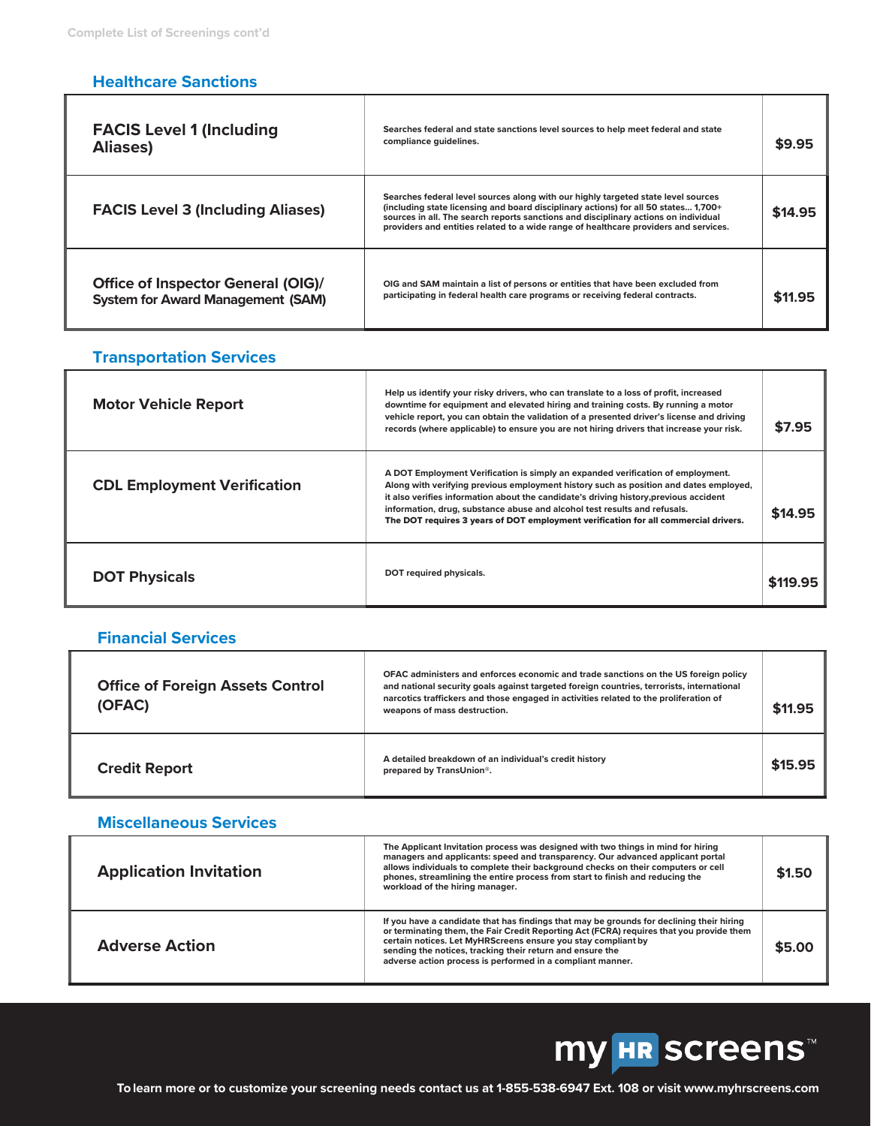### **Healthcare Sanctions**

Ì

| <b>FACIS Level 1 (Including</b><br>Aliases)                                           | Searches federal and state sanctions level sources to help meet federal and state<br>compliance quidelines.                                                                                                                                                                                                                                             | \$9.95  |
|---------------------------------------------------------------------------------------|---------------------------------------------------------------------------------------------------------------------------------------------------------------------------------------------------------------------------------------------------------------------------------------------------------------------------------------------------------|---------|
| <b>FACIS Level 3 (Including Aliases)</b>                                              | Searches federal level sources along with our highly targeted state level sources<br>(including state licensing and board disciplinary actions) for all 50 states 1,700+<br>sources in all. The search reports sanctions and disciplinary actions on individual<br>providers and entities related to a wide range of healthcare providers and services. | \$14.95 |
| <b>Office of Inspector General (OIG)/</b><br><b>System for Award Management (SAM)</b> | OIG and SAM maintain a list of persons or entities that have been excluded from<br>participating in federal health care programs or receiving federal contracts.                                                                                                                                                                                        | \$11.95 |

### **Transportation Services**

| <b>Motor Vehicle Report</b>        | Help us identify your risky drivers, who can translate to a loss of profit, increased<br>downtime for equipment and elevated hiring and training costs. By running a motor<br>vehicle report, you can obtain the validation of a presented driver's license and driving<br>records (where applicable) to ensure you are not hiring drivers that increase your risk.                                                                   | \$7.95   |
|------------------------------------|---------------------------------------------------------------------------------------------------------------------------------------------------------------------------------------------------------------------------------------------------------------------------------------------------------------------------------------------------------------------------------------------------------------------------------------|----------|
| <b>CDL Employment Verification</b> | A DOT Employment Verification is simply an expanded verification of employment.<br>Along with verifying previous employment history such as position and dates employed,<br>it also verifies information about the candidate's driving history, previous accident<br>information, drug, substance abuse and alcohol test results and refusals.<br>The DOT requires 3 years of DOT employment verification for all commercial drivers. | \$14.95  |
| <b>DOT Physicals</b>               | DOT required physicals.                                                                                                                                                                                                                                                                                                                                                                                                               | \$119.95 |

### **Financial Services**

Л

| <b>Office of Foreign Assets Control</b><br>(OFAC) | OFAC administers and enforces economic and trade sanctions on the US foreign policy<br>and national security goals against targeted foreign countries, terrorists, international<br>narcotics traffickers and those engaged in activities related to the proliferation of<br>weapons of mass destruction. | \$11.95 |
|---------------------------------------------------|-----------------------------------------------------------------------------------------------------------------------------------------------------------------------------------------------------------------------------------------------------------------------------------------------------------|---------|
| <b>Credit Report</b>                              | A detailed breakdown of an individual's credit history<br>prepared by TransUnion <sup>®</sup> .                                                                                                                                                                                                           | \$15.95 |

### **Miscellaneous Services**

| <b>Application Invitation</b> | The Applicant Invitation process was designed with two things in mind for hiring<br>managers and applicants: speed and transparency. Our advanced applicant portal<br>allows individuals to complete their background checks on their computers or cell<br>phones, streamlining the entire process from start to finish and reducing the<br>workload of the hiring manager.      | \$1.50 |
|-------------------------------|----------------------------------------------------------------------------------------------------------------------------------------------------------------------------------------------------------------------------------------------------------------------------------------------------------------------------------------------------------------------------------|--------|
| <b>Adverse Action</b>         | If you have a candidate that has findings that may be grounds for declining their hiring<br>or terminating them, the Fair Credit Reporting Act (FCRA) requires that you provide them<br>certain notices. Let MyHRScreens ensure you stay compliant by<br>sending the notices, tracking their return and ensure the<br>adverse action process is performed in a compliant manner. | \$5.00 |

# **my HR SCreens™**

٦

ī

**To learn more or to customize your screening needs contact us at 1-855-538-6947 Ext. 108 or visit www.myhrscreens.com**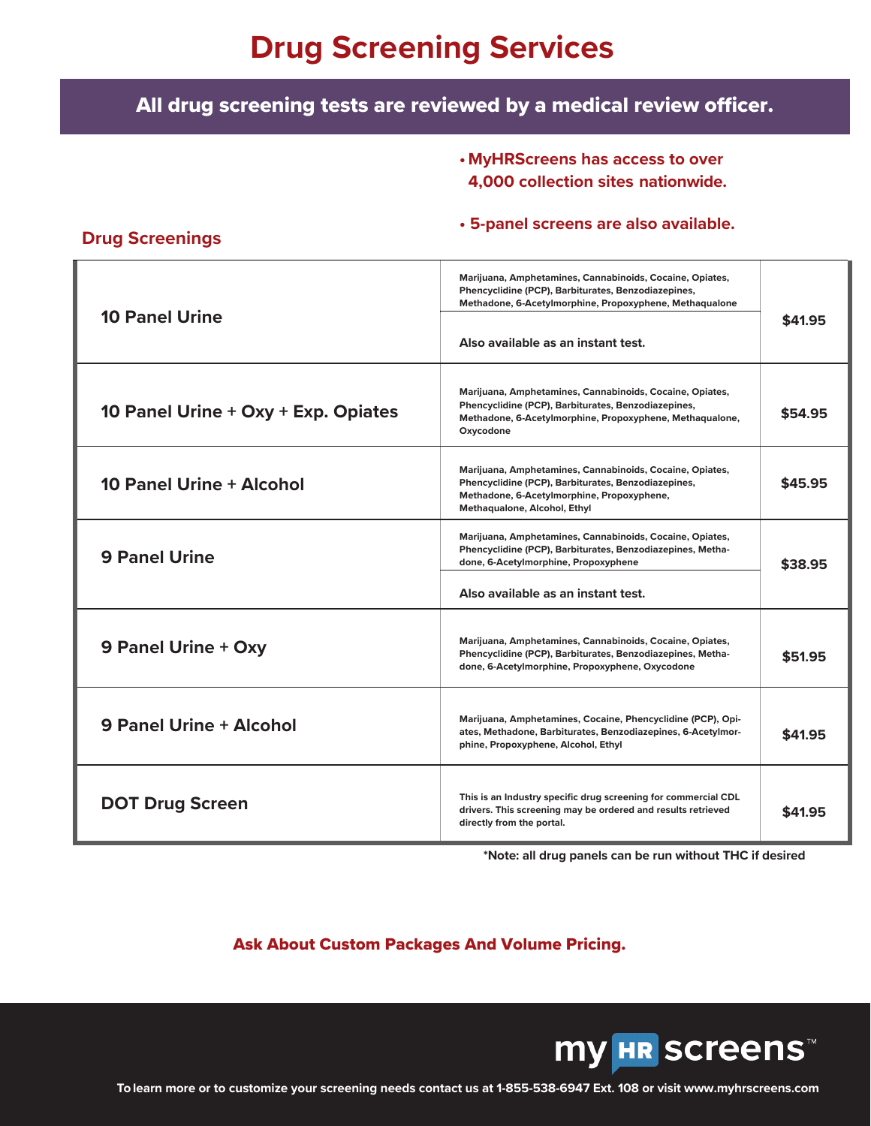## **Drug Screening Services**

## All drug screening tests are reviewed by a medical review officer.

**• MyHRScreens has access to over 4,000 collection sites nationwide.**

#### **• 5-panel screens are also available.**

| <b>10 Panel Urine</b>               | Marijuana, Amphetamines, Cannabinoids, Cocaine, Opiates,<br>Phencyclidine (PCP), Barbiturates, Benzodiazepines,<br>Methadone, 6-Acetylmorphine, Propoxyphene, Methaqualone<br>Also available as an instant test. | \$41.95 |
|-------------------------------------|------------------------------------------------------------------------------------------------------------------------------------------------------------------------------------------------------------------|---------|
| 10 Panel Urine + Oxy + Exp. Opiates | Marijuana, Amphetamines, Cannabinoids, Cocaine, Opiates,<br>Phencyclidine (PCP), Barbiturates, Benzodiazepines,<br>Methadone, 6-Acetylmorphine, Propoxyphene, Methaqualone,<br>Oxycodone                         | \$54.95 |
| <b>10 Panel Urine + Alcohol</b>     | Marijuana, Amphetamines, Cannabinoids, Cocaine, Opiates,<br>Phencyclidine (PCP), Barbiturates, Benzodiazepines,<br>Methadone, 6-Acetylmorphine, Propoxyphene,<br>Methaqualone, Alcohol, Ethyl                    | \$45.95 |
| <b>9 Panel Urine</b>                | Marijuana, Amphetamines, Cannabinoids, Cocaine, Opiates,<br>Phencyclidine (PCP), Barbiturates, Benzodiazepines, Metha-<br>done, 6-Acetylmorphine, Propoxyphene                                                   | \$38.95 |
|                                     | Also available as an instant test.                                                                                                                                                                               |         |
| 9 Panel Urine + Oxy                 | Marijuana, Amphetamines, Cannabinoids, Cocaine, Opiates,<br>Phencyclidine (PCP), Barbiturates, Benzodiazepines, Metha-<br>done, 6-Acetylmorphine, Propoxyphene, Oxycodone                                        | \$51.95 |
| <b>9 Panel Urine + Alcohol</b>      | Marijuana, Amphetamines, Cocaine, Phencyclidine (PCP), Opi-<br>ates, Methadone, Barbiturates, Benzodiazepines, 6-Acetylmor-<br>phine, Propoxyphene, Alcohol, Ethyl                                               | \$41.95 |
| <b>DOT Drug Screen</b>              | This is an Industry specific drug screening for commercial CDL<br>drivers. This screening may be ordered and results retrieved<br>directly from the portal.                                                      | \$41.95 |

**\*Note: all drug panels can be run without THC if desired**

### Ask About Custom Packages And Volume Pricing.



**To learn more or to customize your screening needs contact us at 1-855-538-6947 Ext. 108 or visit www.myhrscreens.com**

#### **Drug Screenings**